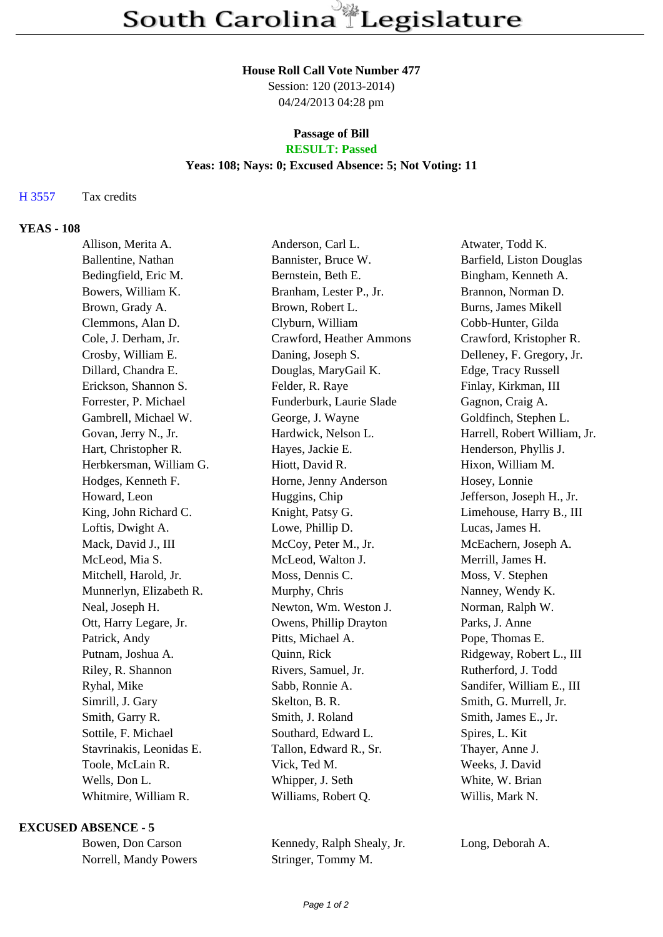#### **House Roll Call Vote Number 477**

Session: 120 (2013-2014) 04/24/2013 04:28 pm

# **Passage of Bill**

## **RESULT: Passed**

### **Yeas: 108; Nays: 0; Excused Absence: 5; Not Voting: 11**

### H 3557 Tax credits

### **YEAS - 108**

| Allison, Merita A.       | Anderson, Carl L.        | Atwater, Todd K.             |
|--------------------------|--------------------------|------------------------------|
| Ballentine, Nathan       | Bannister, Bruce W.      | Barfield, Liston Douglas     |
| Bedingfield, Eric M.     | Bernstein, Beth E.       | Bingham, Kenneth A.          |
| Bowers, William K.       | Branham, Lester P., Jr.  | Brannon, Norman D.           |
| Brown, Grady A.          | Brown, Robert L.         | <b>Burns, James Mikell</b>   |
| Clemmons, Alan D.        | Clyburn, William         | Cobb-Hunter, Gilda           |
| Cole, J. Derham, Jr.     | Crawford, Heather Ammons | Crawford, Kristopher R.      |
| Crosby, William E.       | Daning, Joseph S.        | Delleney, F. Gregory, Jr.    |
| Dillard, Chandra E.      | Douglas, MaryGail K.     | Edge, Tracy Russell          |
| Erickson, Shannon S.     | Felder, R. Raye          | Finlay, Kirkman, III         |
| Forrester, P. Michael    | Funderburk, Laurie Slade | Gagnon, Craig A.             |
| Gambrell, Michael W.     | George, J. Wayne         | Goldfinch, Stephen L.        |
| Govan, Jerry N., Jr.     | Hardwick, Nelson L.      | Harrell, Robert William, Jr. |
| Hart, Christopher R.     | Hayes, Jackie E.         | Henderson, Phyllis J.        |
| Herbkersman, William G.  | Hiott, David R.          | Hixon, William M.            |
| Hodges, Kenneth F.       | Horne, Jenny Anderson    | Hosey, Lonnie                |
| Howard, Leon             | Huggins, Chip            | Jefferson, Joseph H., Jr.    |
| King, John Richard C.    | Knight, Patsy G.         | Limehouse, Harry B., III     |
| Loftis, Dwight A.        | Lowe, Phillip D.         | Lucas, James H.              |
| Mack, David J., III      | McCoy, Peter M., Jr.     | McEachern, Joseph A.         |
| McLeod, Mia S.           | McLeod, Walton J.        | Merrill, James H.            |
| Mitchell, Harold, Jr.    | Moss, Dennis C.          | Moss, V. Stephen             |
| Munnerlyn, Elizabeth R.  | Murphy, Chris            | Nanney, Wendy K.             |
| Neal, Joseph H.          | Newton, Wm. Weston J.    | Norman, Ralph W.             |
| Ott, Harry Legare, Jr.   | Owens, Phillip Drayton   | Parks, J. Anne               |
| Patrick, Andy            | Pitts, Michael A.        | Pope, Thomas E.              |
| Putnam, Joshua A.        | Quinn, Rick              | Ridgeway, Robert L., III     |
| Riley, R. Shannon        | Rivers, Samuel, Jr.      | Rutherford, J. Todd          |
| Ryhal, Mike              | Sabb, Ronnie A.          | Sandifer, William E., III    |
| Simrill, J. Gary         | Skelton, B. R.           | Smith, G. Murrell, Jr.       |
| Smith, Garry R.          | Smith, J. Roland         | Smith, James E., Jr.         |
| Sottile, F. Michael      | Southard, Edward L.      | Spires, L. Kit               |
| Stavrinakis, Leonidas E. | Tallon, Edward R., Sr.   | Thayer, Anne J.              |
| Toole, McLain R.         | Vick, Ted M.             | Weeks, J. David              |
| Wells, Don L.            | Whipper, J. Seth         | White, W. Brian              |
| Whitmire, William R.     | Williams, Robert Q.      | Willis, Mark N.              |

### **EXCUSED ABSENCE - 5**

| Bowen, Don Carson     |
|-----------------------|
| Norrell, Mandy Powers |

Kennedy, Ralph Shealy, Jr. Long, Deborah A. Stringer, Tommy M.